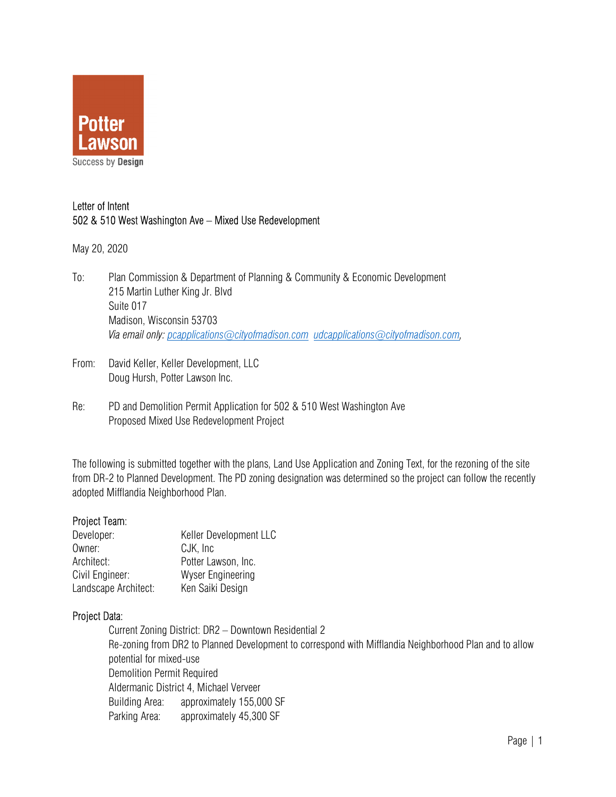

# Letter of Intent 502 & 510 West Washington Ave – Mixed Use Redevelopment

May 20, 2020

- To: Plan Commission & Department of Planning & Community & Economic Development 215 Martin Luther King Jr. Blvd Suite 017 Madison, Wisconsin 53703 *Via email only: pcapplications@cityofmadison.com udcapplications@cityofmadison.com,*
- From: David Keller, Keller Development, LLC Doug Hursh, Potter Lawson Inc.
- Re: PD and Demolition Permit Application for 502 & 510 West Washington Ave Proposed Mixed Use Redevelopment Project

The following is submitted together with the plans, Land Use Application and Zoning Text, for the rezoning of the site from DR-2 to Planned Development. The PD zoning designation was determined so the project can follow the recently adopted Mifflandia Neighborhood Plan.

## Project Team:

| Developer:           | Keller Development LLC   |  |
|----------------------|--------------------------|--|
| Owner:               | CJK, Inc                 |  |
| Architect:           | Potter Lawson, Inc.      |  |
| Civil Engineer:      | <b>Wyser Engineering</b> |  |
| Landscape Architect: | Ken Saiki Design         |  |

## Project Data:

 Current Zoning District: DR2 – Downtown Residential 2 Re-zoning from DR2 to Planned Development to correspond with Mifflandia Neighborhood Plan and to allow potential for mixed-use Demolition Permit Required Aldermanic District 4, Michael Verveer Building Area: approximately 155,000 SF Parking Area: approximately 45,300 SF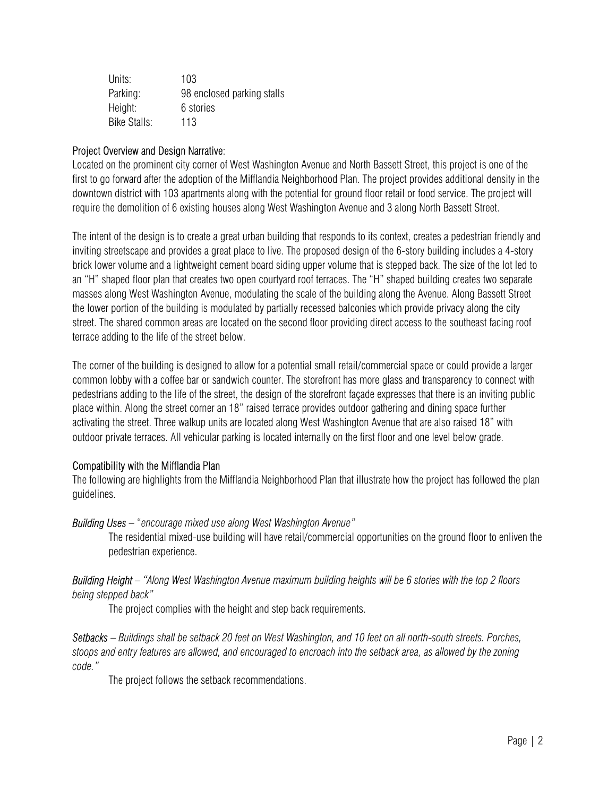| Units:       | 103                        |
|--------------|----------------------------|
| Parking:     | 98 enclosed parking stalls |
| Height:      | 6 stories                  |
| Bike Stalls: | 113                        |

### Project Overview and Design Narrative:

Located on the prominent city corner of West Washington Avenue and North Bassett Street, this project is one of the first to go forward after the adoption of the Mifflandia Neighborhood Plan. The project provides additional density in the downtown district with 103 apartments along with the potential for ground floor retail or food service. The project will require the demolition of 6 existing houses along West Washington Avenue and 3 along North Bassett Street.

The intent of the design is to create a great urban building that responds to its context, creates a pedestrian friendly and inviting streetscape and provides a great place to live. The proposed design of the 6-story building includes a 4-story brick lower volume and a lightweight cement board siding upper volume that is stepped back. The size of the lot led to an "H" shaped floor plan that creates two open courtyard roof terraces. The "H" shaped building creates two separate masses along West Washington Avenue, modulating the scale of the building along the Avenue. Along Bassett Street the lower portion of the building is modulated by partially recessed balconies which provide privacy along the city street. The shared common areas are located on the second floor providing direct access to the southeast facing roof terrace adding to the life of the street below.

The corner of the building is designed to allow for a potential small retail/commercial space or could provide a larger common lobby with a coffee bar or sandwich counter. The storefront has more glass and transparency to connect with pedestrians adding to the life of the street, the design of the storefront façade expresses that there is an inviting public place within. Along the street corner an 18" raised terrace provides outdoor gathering and dining space further activating the street. Three walkup units are located along West Washington Avenue that are also raised 18" with outdoor private terraces. All vehicular parking is located internally on the first floor and one level below grade.

#### Compatibility with the Mifflandia Plan

The following are highlights from the Mifflandia Neighborhood Plan that illustrate how the project has followed the plan guidelines.

#### *Building Uses –* "*encourage mixed use along West Washington Avenue"*

The residential mixed-use building will have retail/commercial opportunities on the ground floor to enliven the pedestrian experience.

*Building Height – "Along West Washington Avenue maximum building heights will be 6 stories with the top 2 floors being stepped back"* 

The project complies with the height and step back requirements.

*Setbacks – Buildings shall be setback 20 feet on West Washington, and 10 feet on all north-south streets. Porches, stoops and entry features are allowed, and encouraged to encroach into the setback area, as allowed by the zoning code."* 

The project follows the setback recommendations.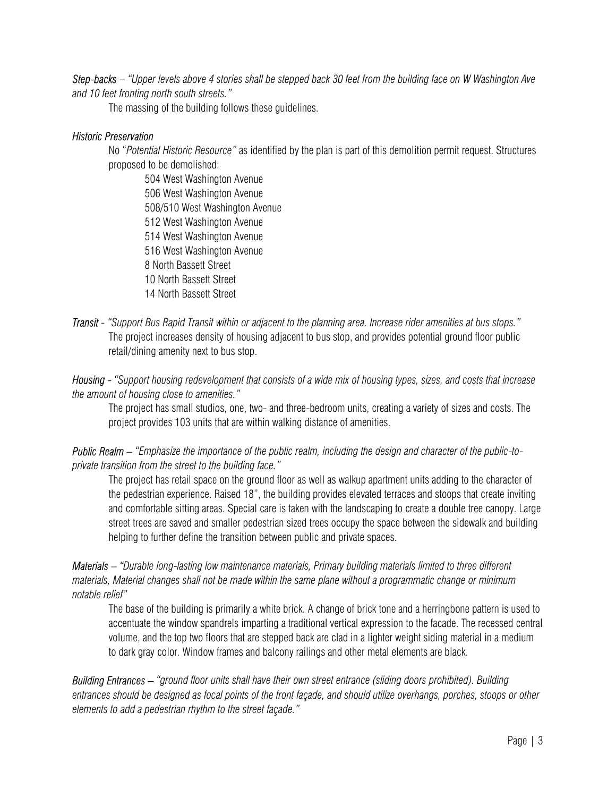*Step-backs – "Upper levels above 4 stories shall be stepped back 30 feet from the building face on W Washington Ave and 10 feet fronting north south streets."* 

The massing of the building follows these guidelines.

#### *Historic Preservation*

No "*Potential Historic Resource"* as identified by the plan is part of this demolition permit request. Structures proposed to be demolished:

 504 West Washington Avenue 506 West Washington Avenue 508/510 West Washington Avenue 512 West Washington Avenue 514 West Washington Avenue 516 West Washington Avenue 8 North Bassett Street 10 North Bassett Street 14 North Bassett Street

*Transit - "Support Bus Rapid Transit within or adjacent to the planning area. Increase rider amenities at bus stops."*  The project increases density of housing adjacent to bus stop, and provides potential ground floor public retail/dining amenity next to bus stop.

*Housing - "Support housing redevelopment that consists of a wide mix of housing types, sizes, and costs that increase the amount of housing close to amenities."* 

The project has small studios, one, two- and three-bedroom units, creating a variety of sizes and costs. The project provides 103 units that are within walking distance of amenities.

*Public Realm – "Emphasize the importance of the public realm, including the design and character of the public-toprivate transition from the street to the building face."* 

The project has retail space on the ground floor as well as walkup apartment units adding to the character of the pedestrian experience. Raised 18", the building provides elevated terraces and stoops that create inviting and comfortable sitting areas. Special care is taken with the landscaping to create a double tree canopy. Large street trees are saved and smaller pedestrian sized trees occupy the space between the sidewalk and building helping to further define the transition between public and private spaces.

*Materials – "Durable long-lasting low maintenance materials, Primary building materials limited to three different materials, Material changes shall not be made within the same plane without a programmatic change or minimum notable relief"* 

The base of the building is primarily a white brick. A change of brick tone and a herringbone pattern is used to accentuate the window spandrels imparting a traditional vertical expression to the facade. The recessed central volume, and the top two floors that are stepped back are clad in a lighter weight siding material in a medium to dark gray color. Window frames and balcony railings and other metal elements are black.

*Building Entrances – "ground floor units shall have their own street entrance (sliding doors prohibited). Building entrances should be designed as focal points of the front façade, and should utilize overhangs, porches, stoops or other elements to add a pedestrian rhythm to the street façade."*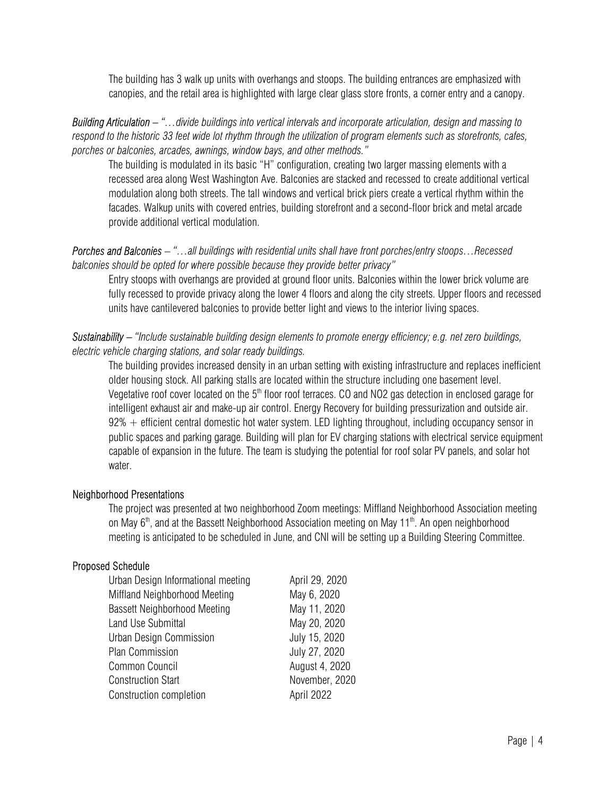The building has 3 walk up units with overhangs and stoops. The building entrances are emphasized with canopies, and the retail area is highlighted with large clear glass store fronts, a corner entry and a canopy.

*Building Articulation – "…divide buildings into vertical intervals and incorporate articulation, design and massing to respond to the historic 33 feet wide lot rhythm through the utilization of program elements such as storefronts, cafes, porches or balconies, arcades, awnings, window bays, and other methods."* 

The building is modulated in its basic "H" configuration, creating two larger massing elements with a recessed area along West Washington Ave. Balconies are stacked and recessed to create additional vertical modulation along both streets. The tall windows and vertical brick piers create a vertical rhythm within the facades. Walkup units with covered entries, building storefront and a second-floor brick and metal arcade provide additional vertical modulation.

### *Porches and Balconies – "…all buildings with residential units shall have front porches/entry stoops…Recessed balconies should be opted for where possible because they provide better privacy"*

Entry stoops with overhangs are provided at ground floor units. Balconies within the lower brick volume are fully recessed to provide privacy along the lower 4 floors and along the city streets. Upper floors and recessed units have cantilevered balconies to provide better light and views to the interior living spaces.

### *Sustainability – "Include sustainable building design elements to promote energy efficiency; e.g. net zero buildings, electric vehicle charging stations, and solar ready buildings.*

The building provides increased density in an urban setting with existing infrastructure and replaces inefficient older housing stock. All parking stalls are located within the structure including one basement level. Vegetative roof cover located on the 5<sup>th</sup> floor roof terraces. CO and NO2 gas detection in enclosed garage for intelligent exhaust air and make-up air control. Energy Recovery for building pressurization and outside air.  $92\%$  + efficient central domestic hot water system. LED lighting throughout, including occupancy sensor in public spaces and parking garage. Building will plan for EV charging stations with electrical service equipment capable of expansion in the future. The team is studying the potential for roof solar PV panels, and solar hot water.

## Neighborhood Presentations

The project was presented at two neighborhood Zoom meetings: Miffland Neighborhood Association meeting on May  $6<sup>th</sup>$ , and at the Bassett Neighborhood Association meeting on May 11<sup>th</sup>. An open neighborhood meeting is anticipated to be scheduled in June, and CNI will be setting up a Building Steering Committee.

#### Proposed Schedule

| Urban Design Informational meeting  | April 29, 2020 |
|-------------------------------------|----------------|
| Miffland Neighborhood Meeting       | May 6, 2020    |
| <b>Bassett Neighborhood Meeting</b> | May 11, 2020   |
| Land Use Submittal                  | May 20, 2020   |
| Urban Design Commission             | July 15, 2020  |
| Plan Commission                     | July 27, 2020  |
| Common Council                      | August 4, 2020 |
| <b>Construction Start</b>           | November, 2020 |
| Construction completion             | April 2022     |
|                                     |                |